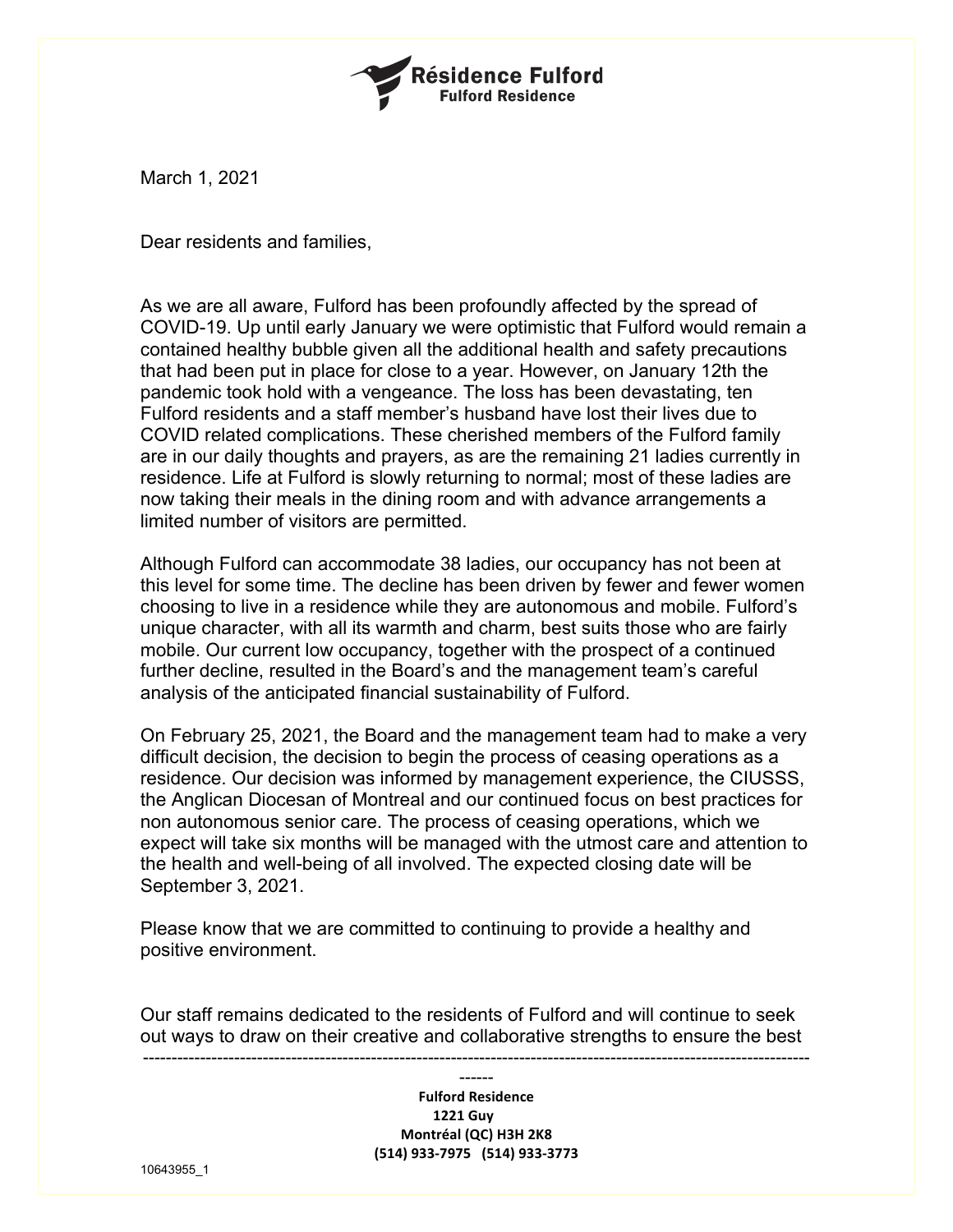

March 1, 2021

Dear residents and families,

As we are all aware, Fulford has been profoundly affected by the spread of COVID-19. Up until early January we were optimistic that Fulford would remain a contained healthy bubble given all the additional health and safety precautions that had been put in place for close to a year. However, on January 12th the pandemic took hold with a vengeance. The loss has been devastating, ten Fulford residents and a staff member's husband have lost their lives due to COVID related complications. These cherished members of the Fulford family are in our daily thoughts and prayers, as are the remaining 21 ladies currently in residence. Life at Fulford is slowly returning to normal; most of these ladies are now taking their meals in the dining room and with advance arrangements a limited number of visitors are permitted.

Although Fulford can accommodate 38 ladies, our occupancy has not been at this level for some time. The decline has been driven by fewer and fewer women choosing to live in a residence while they are autonomous and mobile. Fulford's unique character, with all its warmth and charm, best suits those who are fairly mobile. Our current low occupancy, together with the prospect of a continued further decline, resulted in the Board's and the management team's careful analysis of the anticipated financial sustainability of Fulford.

On February 25, 2021, the Board and the management team had to make a very difficult decision, the decision to begin the process of ceasing operations as a residence. Our decision was informed by management experience, the CIUSSS, the Anglican Diocesan of Montreal and our continued focus on best practices for non autonomous senior care. The process of ceasing operations, which we expect will take six months will be managed with the utmost care and attention to the health and well-being of all involved. The expected closing date will be September 3, 2021.

Please know that we are committed to continuing to provide a healthy and positive environment.

Our staff remains dedicated to the residents of Fulford and will continue to seek out ways to draw on their creative and collaborative strengths to ensure the best

---------------------------------------------------------------------------------------------------------------------

------ **Fulford Residence 1221 Guy Montréal (QC) H3H 2K8 (514) 933-7975 (514) 933-3773**

10643955\_1